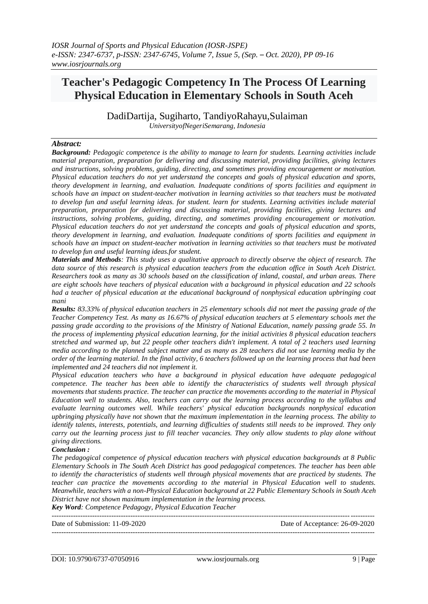# **Teacher's Pedagogic Competency In The Process Of Learning Physical Education in Elementary Schools in South Aceh**

DadiDartija, Sugiharto, TandiyoRahayu,Sulaiman *UniversityofNegeriSemarang, Indonesia*

### *Abstract:*

*Background: Pedagogic competence is the ability to manage to learn for students. Learning activities include material preparation, preparation for delivering and discussing material, providing facilities, giving lectures and instructions, solving problems, guiding, directing, and sometimes providing encouragement or motivation. Physical education teachers do not yet understand the concepts and goals of physical education and sports, theory development in learning, and evaluation. Inadequate conditions of sports facilities and equipment in schools have an impact on student-teacher motivation in learning activities so that teachers must be motivated to develop fun and useful learning ideas. for student. learn for students. Learning activities include material preparation, preparation for delivering and discussing material, providing facilities, giving lectures and instructions, solving problems, guiding, directing, and sometimes providing encouragement or motivation. Physical education teachers do not yet understand the concepts and goals of physical education and sports, theory development in learning, and evaluation. Inadequate conditions of sports facilities and equipment in schools have an impact on student-teacher motivation in learning activities so that teachers must be motivated to develop fun and useful learning ideas.for student.*

*Materials and Methods: This study uses a qualitative approach to directly observe the object of research. The data source of this research is physical education teachers from the education office in South Aceh District. Researchers took as many as 30 schools based on the classification of inland, coastal, and urban areas. There are eight schools have teachers of physical education with a background in physical education and 22 schools had a teacher of physical education at the educational background of nonphysical education upbringing coat mani*

*Results: 83.33% of physical education teachers in 25 elementary schools did not meet the passing grade of the Teacher Competency Test. As many as 16.67% of physical education teachers at 5 elementary schools met the passing grade according to the provisions of the Ministry of National Education, namely passing grade 55. In the process of implementing physical education learning, for the initial activities 8 physical education teachers stretched and warmed up, but 22 people other teachers didn't implement. A total of 2 teachers used learning media according to the planned subject matter and as many as 28 teachers did not use learning media by the order of the learning material. In the final activity, 6 teachers followed up on the learning process that had been implemented and 24 teachers did not implement it.* 

*Physical education teachers who have a background in physical education have adequate pedagogical competence. The teacher has been able to identify the characteristics of students well through physical movements that students practice. The teacher can practice the movements according to the material in Physical Education well to students. Also, teachers can carry out the learning process according to the syllabus and evaluate learning outcomes well. While teachers' physical education backgrounds nonphysical education upbringing physically have not shown that the maximum implementation in the learning process. The ability to identify talents, interests, potentials, and learning difficulties of students still needs to be improved. They only carry out the learning process just to fill teacher vacancies. They only allow students to play alone without giving directions.*

#### *Conclusion :*

*The pedagogical competence of physical education teachers with physical education backgrounds at 8 Public Elementary Schools in The South Aceh District has good pedagogical competences. The teacher has been able to identify the characteristics of students well through physical movements that are practiced by students. The teacher can practice the movements according to the material in Physical Education well to students. Meanwhile, teachers with a non-Physical Education background at 22 Public Elementary Schools in South Aceh District have not shown maximum implementation in the learning process.*

*Key Word: Competence Pedagogy, Physical Education Teacher*

| Date of Submission: 11-09-2020 | Date of Acceptance: 26-09-2020 |
|--------------------------------|--------------------------------|
|                                |                                |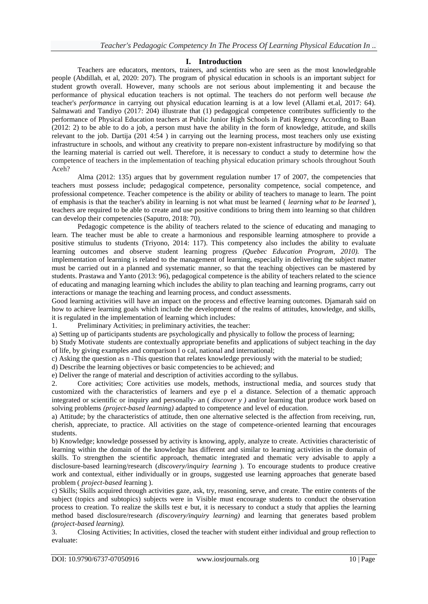## **I. Introduction**

Teachers are educators, mentors, trainers, and scientists who are seen as the most knowledgeable people (Abdillah, et al, 2020: 207). The program of physical education in schools is an important subject for student growth overall. However, many schools are not serious about implementing it and because the performance of physical education teachers is not optimal. The teachers do not perform well because *the*  teacher's *performance* in carrying out physical education learning is at a low level (Allami et.al, 2017: 64). Salmawati and Tandiyo (2017: 204) illustrate that (1) pedagogical competence contributes sufficiently to the performance of Physical Education teachers at Public Junior High Schools in Pati Regency According to Baan (2012: 2) to be able to do a job, a person must have the ability in the form of knowledge, attitude, and skills relevant to the job. Dartija (201 4:54 ) in carrying out the learning process, most teachers only use existing infrastructure in schools, and without any creativity to prepare non-existent infrastructure by modifying so that the learning material is carried out well. Therefore, it is necessary to conduct a study to determine how the competence of teachers in the implementation of teaching physical education primary schools throughout South Aceh?

Alma (2012: 135) argues that by government regulation number 17 of 2007, the competencies that teachers must possess include; pedagogical competence, personality competence, social competence, and professional competence. Teacher competence is the ability or ability of teachers to manage to learn. The point of emphasis is that the teacher's ability in learning is not what must be learned ( *learning what to be learned* ), teachers are required to be able to create and use positive conditions to bring them into learning so that children can develop their competencies (Saputro, 2018: 70).

Pedagogic competence is the ability of teachers related to the science of educating and managing to learn. The teacher must be able to create a harmonious and responsible learning atmosphere to provide a positive stimulus to students (Triyono, 2014: 117). This competency also includes the ability to evaluate learning outcomes and observe student learning progress *(Quebec Education Program, 2010).* The implementation of learning is related to the management of learning, especially in delivering the subject matter must be carried out in a planned and systematic manner, so that the teaching objectives can be mastered by students. Prastawa and Yanto (2013: 96), pedagogical competence is the ability of teachers related to the science of educating and managing learning which includes the ability to plan teaching and learning programs, carry out interactions or manage the teaching and learning process, and conduct assessments.

Good learning activities will have an impact on the process and effective learning outcomes. Djamarah said on how to achieve learning goals which include the development of the realms of attitudes, knowledge, and skills, it is regulated in the implementation of learning which includes:

1. Preliminary Activities; in preliminary activities, the teacher:

a) Setting up of participants students are psychologically and physically to follow the process of learning;

b) Study Motivate students are contextually appropriate benefits and applications of subject teaching in the day of life, by giving examples and comparison l o cal, national and international;

c) Asking the question as n -This question that relates knowledge previously with the material to be studied;

d) Describe the learning objectives or basic competencies to be achieved; and

e) Deliver the range of material and description of activities according to the syllabus.

2. Core activities; Core activities use models, methods, instructional media, and sources study that customized with the characteristics of learners and eye p el a distance. Selection of a thematic approach integrated or scientific or inquiry and personally- an ( *discover y )* and/or learning that produce work based on solving problems *(project-based learning)* adapted to competence and level of education.

a) Attitude; by the characteristics of attitude, then one alternative selected is the affection from receiving, run, cherish, appreciate, to practice. All activities on the stage of competence-oriented learning that encourages students.

b) Knowledge; knowledge possessed by activity is knowing, apply, analyze to create. Activities characteristic of learning within the domain of the knowledge has different and similar to learning activities in the domain of skills. To strengthen the scientific approach, thematic integrated and thematic very advisable to apply a disclosure-based learning/research (*discovery/inquiry learning* ). To encourage students to produce creative work and contextual, either individually or in groups, suggested use learning approaches that generate based problem ( *project-based l*earning ).

c) Skills; Skills acquired through activities gaze, ask, try, reasoning, serve, and create. The entire contents of the subject (topics and subtopics) subjects were in Visible must encourage students to conduct the observation process to creation. To realize the skills test e but, it is necessary to conduct a study that applies the learning method based disclosure/research *(discovery/inquiry learning)* and learning that generates based problem *(project-based learning).*

3. Closing Activities; In activities, closed the teacher with student either individual and group reflection to evaluate: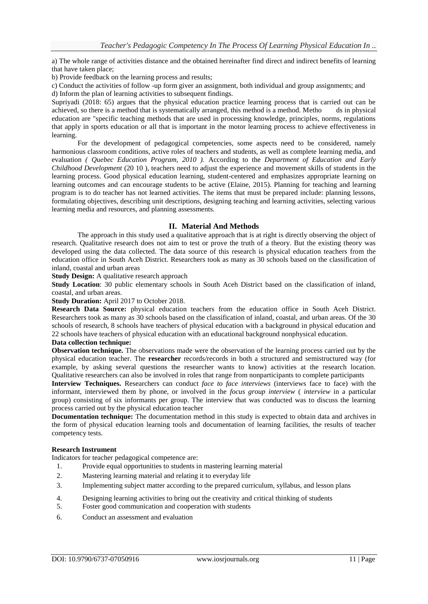a) The whole range of activities distance and the obtained hereinafter find direct and indirect benefits of learning that have taken place;

b) Provide feedback on the learning process and results;

c) Conduct the activities of follow -up form giver an assignment, both individual and group assignments; and d) Inform the plan of learning activities to subsequent findings.

Supriyadi (2018: 65) argues that the physical education practice learning process that is carried out can be achieved, so there is a method that is systematically arranged, this method is a method. Metho ds in physical education are "specific teaching methods that are used in processing knowledge, principles, norms, regulations that apply in sports education or all that is important in the motor learning process to achieve effectiveness in learning.

For the development of pedagogical competencies, some aspects need to be considered, namely harmonious classroom conditions, active roles of teachers and students, as well as complete learning media, and evaluation *( Quebec Education Program, 2010 ).* According to the *Department of Education and Early Childhood Development* (20 10 ), teachers need to adjust the experience and movement skills of students in the learning process. Good physical education learning, student-centered and emphasizes appropriate learning on learning outcomes and can encourage students to be active (Elaine, 2015). Planning for teaching and learning program is to do teacher has not learned activities. The items that must be prepared include: planning lessons, formulating objectives, describing unit descriptions, designing teaching and learning activities, selecting various learning media and resources, and planning assessments.

## **II. Material And Methods**

The approach in this study used a qualitative approach that is at right is directly observing the object of research. Qualitative research does not aim to test or prove the truth of a theory. But the existing theory was developed using the data collected. The data source of this research is physical education teachers from the education office in South Aceh District. Researchers took as many as 30 schools based on the classification of inland, coastal and urban areas

**Study Design:** A qualitative research approach

**Study Location**: 30 public elementary schools in South Aceh District based on the classification of inland, coastal, and urban areas.

## **Study Duration:** April 2017 to October 2018.

**Research Data Source:** physical education teachers from the education office in South Aceh District. Researchers took as many as 30 schools based on the classification of inland, coastal, and urban areas. Of the 30 schools of research, 8 schools have teachers of physical education with a background in physical education and 22 schools have teachers of physical education with an educational background nonphysical education.

#### **Data collection technique:**

**Observation technique.** The observations made were the observation of the learning process carried out by the physical education teacher. The **researcher** records/records in both a structured and semistructured way (for example, by asking several questions the researcher wants to know) activities at the research location. Qualitative researchers can also be involved in roles that range from nonparticipants to complete participants

**Interview Techniques.** Researchers can conduct *face to face interviews* (interviews face to face) with the informant, interviewed them by phone, or involved in the *focus group interview* ( *interview* in a particular group) consisting of six informants per group. The interview that was conducted was to discuss the learning process carried out by the physical education teacher

**Documentation technique:** The documentation method in this study is expected to obtain data and archives in the form of physical education learning tools and documentation of learning facilities, the results of teacher competency tests.

#### **Research Instrument**

Indicators for teacher pedagogical competence are:

- 1. Provide equal opportunities to students in mastering learning material
- 2. Mastering learning material and relating it to everyday life
- 3. Implementing subject matter according to the prepared curriculum, syllabus, and lesson plans
- 4. Designing learning activities to bring out the creativity and critical thinking of students
- 5. Foster good communication and cooperation with students
- 6. Conduct an assessment and evaluation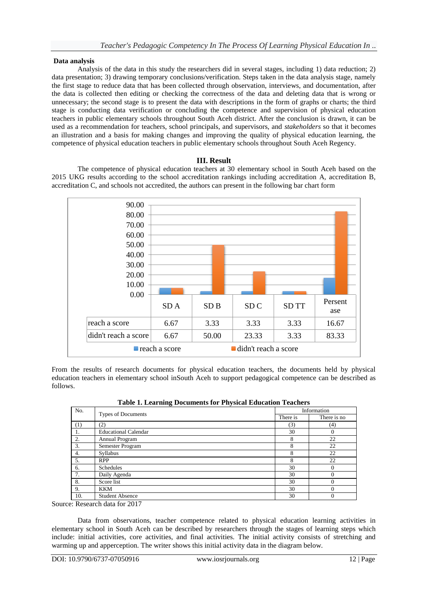### **Data analysis**

Analysis of the data in this study the researchers did in several stages, including 1) data reduction; 2) data presentation; 3) drawing temporary conclusions/verification. Steps taken in the data analysis stage, namely the first stage to reduce data that has been collected through observation, interviews, and documentation, after the data is collected then editing or checking the correctness of the data and deleting data that is wrong or unnecessary; the second stage is to present the data with descriptions in the form of graphs or charts; the third stage is conducting data verification or concluding the competence and supervision of physical education teachers in public elementary schools throughout South Aceh district. After the conclusion is drawn, it can be used as a recommendation for teachers, school principals, and supervisors, and *stakeholders* so that it becomes an illustration and a basis for making changes and improving the quality of physical education learning, the competence of physical education teachers in public elementary schools throughout South Aceh Regency.

### **III. Result**

The competence of physical education teachers at 30 elementary school in South Aceh based on the 2015 UKG results according to the school accreditation rankings including accreditation A, accreditation B, accreditation C, and schools not accredited, the authors can present in the following bar chart form



From the results of research documents for physical education teachers, the documents held by physical education teachers in elementary school inSouth Aceh to support pedagogical competence can be described as follows.

| No. | Types of Documents          | Information |             |
|-----|-----------------------------|-------------|-------------|
|     |                             | There is    | There is no |
| (1) | (2)                         | (3)         | (4)         |
| -1. | <b>Educational Calendar</b> | 30          | 0           |
| 2.  | Annual Program              | 8           | 22          |
| 3.  | Semester Program            | 8           | 22          |
| 4.  | Syllabus                    | 8           | 22          |
| 5.  | <b>RPP</b>                  | 8           | 22          |
| 6.  | Schedules                   | 30          | $\Omega$    |
| 7.  | Daily Agenda                | 30          | $\Omega$    |
| 8.  | Score list                  | 30          | $\Omega$    |
| 9.  | <b>KKM</b>                  | 30          | 0           |
| 10. | <b>Student Absence</b>      | 30          | 0           |

|  | <b>Table 1. Learning Documents for Physical Education Teachers</b> |  |  |
|--|--------------------------------------------------------------------|--|--|
|  |                                                                    |  |  |

Source: Research data for 2017

Data from observations, teacher competence related to physical education learning activities in elementary school in South Aceh can be described by researchers through the stages of learning steps which include: initial activities, core activities, and final activities. The initial activity consists of stretching and warming up and apperception. The writer shows this initial activity data in the diagram below.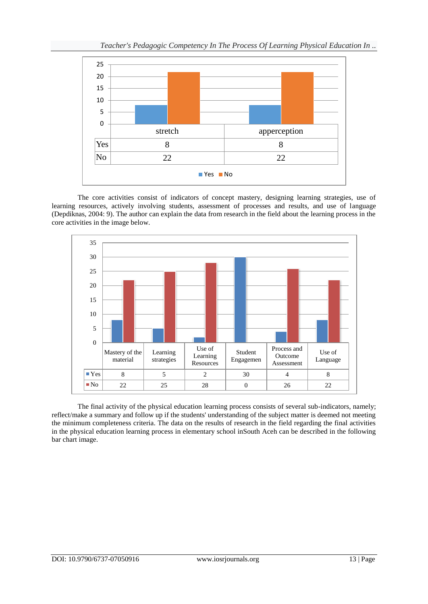

The core activities consist of indicators of concept mastery, designing learning strategies, use of learning resources, actively involving students, assessment of processes and results, and use of language (Depdiknas, 2004: 9). The author can explain the data from research in the field about the learning process in the core activities in the image below.



The final activity of the physical education learning process consists of several sub-indicators, namely; reflect/make a summary and follow up if the students' understanding of the subject matter is deemed not meeting the minimum completeness criteria. The data on the results of research in the field regarding the final activities in the physical education learning process in elementary school inSouth Aceh can be described in the following bar chart image.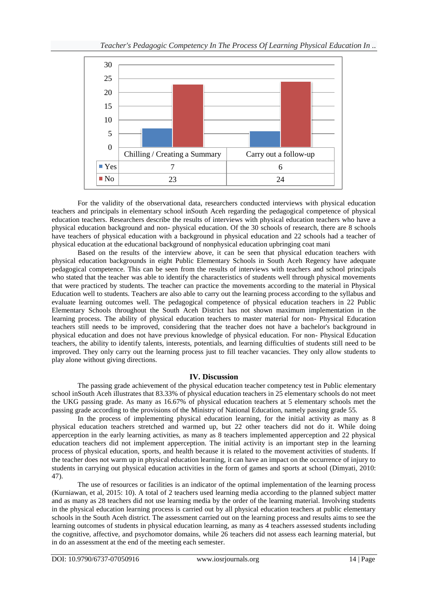

For the validity of the observational data, researchers conducted interviews with physical education teachers and principals in elementary school inSouth Aceh regarding the pedagogical competence of physical education teachers. Researchers describe the results of interviews with physical education teachers who have a physical education background and non- physical education. Of the 30 schools of research, there are 8 schools have teachers of physical education with a background in physical education and 22 schools had a teacher of physical education at the educational background of nonphysical education upbringing coat mani

Based on the results of the interview above, it can be seen that physical education teachers with physical education backgrounds in eight Public Elementary Schools in South Aceh Regency have adequate pedagogical competence. This can be seen from the results of interviews with teachers and school principals who stated that the teacher was able to identify the characteristics of students well through physical movements that were practiced by students. The teacher can practice the movements according to the material in Physical Education well to students. Teachers are also able to carry out the learning process according to the syllabus and evaluate learning outcomes well. The pedagogical competence of physical education teachers in 22 Public Elementary Schools throughout the South Aceh District has not shown maximum implementation in the learning process. The ability of physical education teachers to master material for non- Physical Education teachers still needs to be improved, considering that the teacher does not have a bachelor's background in physical education and does not have previous knowledge of physical education. For non- Physical Education teachers, the ability to identify talents, interests, potentials, and learning difficulties of students still need to be improved. They only carry out the learning process just to fill teacher vacancies. They only allow students to play alone without giving directions.

## **IV. Discussion**

The passing grade achievement of the physical education teacher competency test in Public elementary school inSouth Aceh illustrates that 83.33% of physical education teachers in 25 elementary schools do not meet the UKG passing grade. As many as 16.67% of physical education teachers at 5 elementary schools met the passing grade according to the provisions of the Ministry of National Education, namely passing grade 55.

In the process of implementing physical education learning, for the initial activity as many as 8 physical education teachers stretched and warmed up, but 22 other teachers did not do it. While doing apperception in the early learning activities, as many as 8 teachers implemented apperception and 22 physical education teachers did not implement apperception. The initial activity is an important step in the learning process of physical education, sports, and health because it is related to the movement activities of students. If the teacher does not warm up in physical education learning, it can have an impact on the occurrence of injury to students in carrying out physical education activities in the form of games and sports at school (Dimyati, 2010: 47).

The use of resources or facilities is an indicator of the optimal implementation of the learning process (Kurniawan, et al, 2015: 10). A total of 2 teachers used learning media according to the planned subject matter and as many as 28 teachers did not use learning media by the order of the learning material. Involving students in the physical education learning process is carried out by all physical education teachers at public elementary schools in the South Aceh district. The assessment carried out on the learning process and results aims to see the learning outcomes of students in physical education learning, as many as 4 teachers assessed students including the cognitive, affective, and psychomotor domains, while 26 teachers did not assess each learning material, but in do an assessment at the end of the meeting each semester.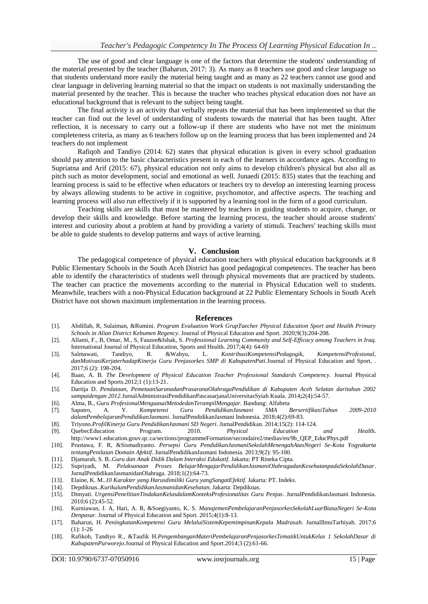The use of good and clear language is one of the factors that determine the students' understanding of the material presented by the teacher (Baharun, 2017: 3). As many as 8 teachers use good and clear language so that students understand more easily the material being taught and as many as 22 teachers cannot use good and clear language in delivering learning material so that the impact on students is not maximally understanding the material presented by the teacher. This is because the teacher who teaches physical education does not have an educational background that is relevant to the subject being taught.

The final activity is an activity that verbally repeats the material that has been implemented so that the teacher can find out the level of understanding of students towards the material that has been taught. After reflection, it is necessary to carry out a follow-up if there are students who have not met the minimum completeness criteria, as many as 6 teachers follow up on the learning process that has been implemented and 24 teachers do not implement

Rafiqoh and Tandiyo (2014: 62) states that physical education is given in every school graduation should pay attention to the basic characteristics present in each of the learners in accordance ages. According to Supriatna and Arif (2015: 67), physical education not only aims to develop children's physical but also all as pitch such as motor development, social and emotional as well. Junaedi (2015: 835) states that the teaching and learning process is said to be effective when educators or teachers try to develop an interesting learning process by always allowing students to be active in cognitive, psychomotor, and affective aspects. The teaching and learning process will also run effectively if it is supported by a learning tool in the form of a good curriculum.

Teaching skills are skills that must be mastered by teachers in guiding students to acquire, change, or develop their skills and knowledge. Before starting the learning process, the teacher should arouse students' interest and curiosity about a problem at hand by providing a variety of stimuli. Teachers' teaching skills must be able to guide students to develop patterns and ways of active learning.

#### **V. Conclusion**

The pedagogical competence of physical education teachers with physical education backgrounds at 8 Public Elementary Schools in the South Aceh District has good pedagogical competences. The teacher has been able to identify the characteristics of students well through physical movements that are practiced by students. The teacher can practice the movements according to the material in Physical Education well to students. Meanwhile, teachers with a non-Physical Education background at 22 Public Elementary Schools in South Aceh District have not shown maximum implementation in the learning process.

#### **References**

- [1]. Abdillah, R, Sulaiman, &Rumini. *Program Evaluation Work GrupTaecher Physical Education Sport and Health Primary Schools in Alian District Kebumen Regency*. Journal of Physical Education and Sport. 2020;9(3):204-208.
- [2]. Allami, F., B, Omar, M., S, Fauzee&Ishak, S. *Professional Learning Community and Self-Efficacy among Teachers in Iraq*. International Journal of Physical Education, Sports and Health.  $2017;4(4)$ : 64-69<br>Salmawati, Tandiyo, R. & Wahyu, L. *KontribusiKompete*
- [3]. Salmawati, Tandiyo, R. &Wahyu, L. *KontribusiKompetensiPedagogik, KompetensiProfesional, danMotivasiKerjaterhadapKinerja Guru Penjasorkes SMP di KabupatenPati.*Journal of Physical Education and Sport, . 2017;6 (2): 198-204.
- [4]. Baan, A. B. *The Development of Physical Education Teacher Professional Standards Competency*. Journal Physical Education and Sports.2012;1 (1):13-21.
- [5]. Dartija D. *Pendataan, PemetaanSaranadanPrasaranaOlahragaPendidikan di Kabupaten Aceh Selatan daritahun 2002 sampaidengan 2012.*JurnalAdministrasiPendidikanPascasarjanaUniversitasSyiah Kuala. 2014**;**2(4):54-57.
- [6]. Alma, B., *Guru ProfesionalMenguasaiMetodedanTerampilMengajar.* Bandung: Alfabeta
- [7]. Saputro, A. Y. *Kompetensi Guru PendidikanJasmani SMA BersertifikasiTahun 2009-2010 dalamPembelajaranPendidikanJasmani*. JurnalPendidikanJasmani Indonesia. 2018;4(2):69-83.
- [8]. Triyono.*ProfilKinerja Guru PendidikanJasmani SD Negeri*. JurnalPendidikan. 2014;15(2): 114-124.
- [9]. QuebecEducation Program. 2010. *Physical Education and Healt*h. [http://www1.education.gouv.qc.ca/sections/programmeFormation/secondaire2/medias/en/9b\\_QEP\\_EducPhys.pdf](http://www1.education.gouv.qc.ca/sections/programmeFormation/secondaire2/medias/en/9b_QEP_EducPhys.pdf)
- [10]. Prastawa, F. R, &Sismadiyanto. *Persepsi Guru PendidikanJasmaniSekolahMenengahAtasNegeri Se-Kota Yogyakarta tentangPenilaian Domain Afektif*. JurnalPendidikanJasmani Indonesia. 2013;9(2): 95-100.
- [11]. Djamarah, S. B..*Guru dan Anak Didik Dalam Interaksi Edukatif.* Jakarta: PT Rineka Cipta.
- [12]. Supriyadi, M. *Pelaksanaan Proses BelajarMengajarPendidikanJasmaniOlahragadanKesehatanpadaSekolahDasar*. JurnalPendidikanJasmanidanOlahraga. 2018;1(2):64-73.
- [13]. Elaine, K. M..10 Karakter yang Harusdimiliki Guru yangSangatEfektif. Jakarta: PT. Indeks.<br>[14]. Depdiknas..KurikulumPendidikanJasmanidanKesehatan. Jakarta: Depdiknas.
- [14]. Depdiknas..*KurikulumPendidikanJasmanidanKesehatan.* Jakarta: Depdiknas.
- [15]. Dimyati. *UrgensiPenelitianTindakanKelasdalamKonteksProfesionalitas Guru Penjas*. JurnalPendidikanJasmani Indonesia. 2010;6 (2):45-52.
- [16]. Kurniawan, J. A, Hari, A. R, &Soegiyanto, K. S. *ManajemenPembelajaranPenjasorkesSekolahLuarBiasaNegeri Se-Kota Denpasar*. Journal of Physical Education and Sport. 2015;4(1):8-13.
- [17]. Baharun, H. *PeningkatanKompetensi Guru MelaluiSistemKepemimpinanKepala Madrasah*. JurnalIlmuTarbiyah. 2017;6 (1): 1-26
- [18]. Rafikoh, Tandiyo R., &Taufik H.*PengembanganMateriPembelajaranPenjasorkesTematikUntukKelas 1 SekolahDasar di KabupatenPurworejo.*Journal of Physical Education and Sport.2014;3 (2):61-66.